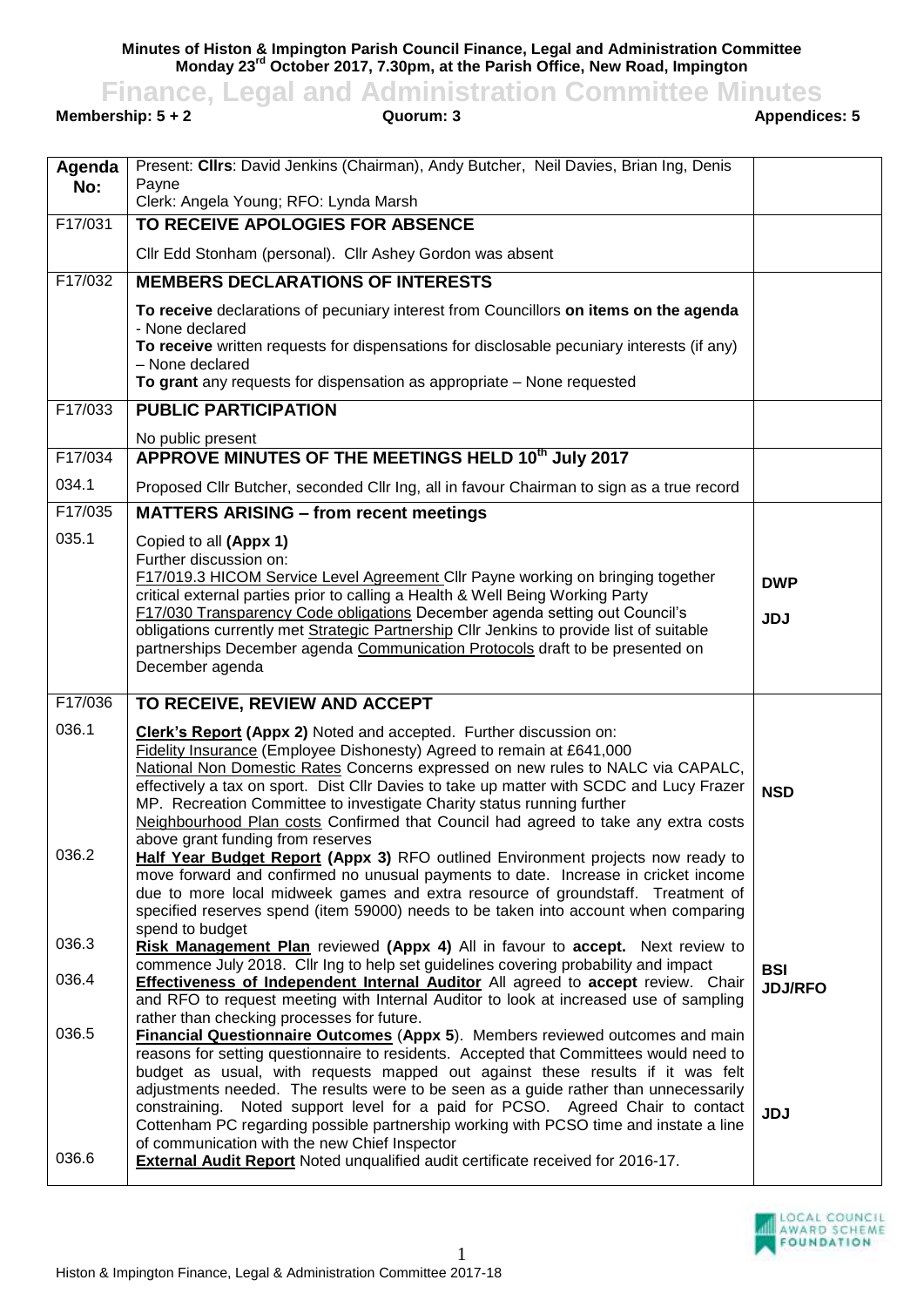**Minutes of Histon & Impington Parish Council Finance, Legal and Administration Committee Monday 23rd October 2017, 7.30pm, at the Parish Office, New Road, Impington**

**Finance, Legal and Administration Committee Minutes**<br>**Guorum: 3**<br>Appendices: 5

**Membership: 5 + 2** 

| Agenda  | Present: CIIrs: David Jenkins (Chairman), Andy Butcher, Neil Davies, Brian Ing, Denis<br>Payne                                                                              |                |
|---------|-----------------------------------------------------------------------------------------------------------------------------------------------------------------------------|----------------|
| No:     | Clerk: Angela Young; RFO: Lynda Marsh                                                                                                                                       |                |
| F17/031 | TO RECEIVE APOLOGIES FOR ABSENCE                                                                                                                                            |                |
|         | Cllr Edd Stonham (personal). Cllr Ashey Gordon was absent                                                                                                                   |                |
| F17/032 | <b>MEMBERS DECLARATIONS OF INTERESTS</b>                                                                                                                                    |                |
|         | To receive declarations of pecuniary interest from Councillors on items on the agenda                                                                                       |                |
|         | - None declared<br>To receive written requests for dispensations for disclosable pecuniary interests (if any)                                                               |                |
|         | - None declared                                                                                                                                                             |                |
|         | To grant any requests for dispensation as appropriate - None requested                                                                                                      |                |
| F17/033 | <b>PUBLIC PARTICIPATION</b>                                                                                                                                                 |                |
| F17/034 | No public present<br>APPROVE MINUTES OF THE MEETINGS HELD 10th July 2017                                                                                                    |                |
| 034.1   | Proposed Cllr Butcher, seconded Cllr Ing, all in favour Chairman to sign as a true record                                                                                   |                |
| F17/035 | <b>MATTERS ARISING - from recent meetings</b>                                                                                                                               |                |
| 035.1   | Copied to all (Appx 1)                                                                                                                                                      |                |
|         | Further discussion on:                                                                                                                                                      |                |
|         | F17/019.3 HICOM Service Level Agreement Cllr Payne working on bringing together<br>critical external parties prior to calling a Health & Well Being Working Party           | <b>DWP</b>     |
|         | F17/030 Transparency Code obligations December agenda setting out Council's                                                                                                 | <b>JDJ</b>     |
|         | obligations currently met Strategic Partnership Cllr Jenkins to provide list of suitable<br>partnerships December agenda Communication Protocols draft to be presented on   |                |
|         | December agenda                                                                                                                                                             |                |
| F17/036 | TO RECEIVE, REVIEW AND ACCEPT                                                                                                                                               |                |
| 036.1   | <b>Clerk's Report (Appx 2)</b> Noted and accepted. Further discussion on:                                                                                                   |                |
|         | Fidelity Insurance (Employee Dishonesty) Agreed to remain at £641,000                                                                                                       |                |
|         | National Non Domestic Rates Concerns expressed on new rules to NALC via CAPALC,<br>effectively a tax on sport. Dist Cllr Davies to take up matter with SCDC and Lucy Frazer | <b>NSD</b>     |
|         | MP. Recreation Committee to investigate Charity status running further                                                                                                      |                |
|         | Neighbourhood Plan costs Confirmed that Council had agreed to take any extra costs<br>above grant funding from reserves                                                     |                |
| 036.2   | Half Year Budget Report (Appx 3) RFO outlined Environment projects now ready to                                                                                             |                |
|         | move forward and confirmed no unusual payments to date. Increase in cricket income<br>due to more local midweek games and extra resource of groundstaff. Treatment of       |                |
|         | specified reserves spend (item 59000) needs to be taken into account when comparing                                                                                         |                |
| 036.3   | spend to budget<br>Risk Management Plan reviewed (Appx 4) All in favour to accept. Next review to                                                                           |                |
| 036.4   | commence July 2018. Cllr Ing to help set guidelines covering probability and impact                                                                                         | <b>BSI</b>     |
|         | Effectiveness of Independent Internal Auditor All agreed to accept review. Chair<br>and RFO to request meeting with Internal Auditor to look at increased use of sampling   | <b>JDJ/RFO</b> |
| 036.5   | rather than checking processes for future.<br><b>Financial Questionnaire Outcomes (Appx 5).</b> Members reviewed outcomes and main                                          |                |
|         | reasons for setting questionnaire to residents. Accepted that Committees would need to                                                                                      |                |
|         | budget as usual, with requests mapped out against these results if it was felt                                                                                              |                |
|         | adjustments needed. The results were to be seen as a guide rather than unnecessarily<br>constraining. Noted support level for a paid for PCSO. Agreed Chair to contact      | <b>JDJ</b>     |
|         | Cottenham PC regarding possible partnership working with PCSO time and instate a line<br>of communication with the new Chief Inspector                                      |                |
| 036.6   | <b>External Audit Report</b> Noted unqualified audit certificate received for 2016-17.                                                                                      |                |
|         |                                                                                                                                                                             |                |